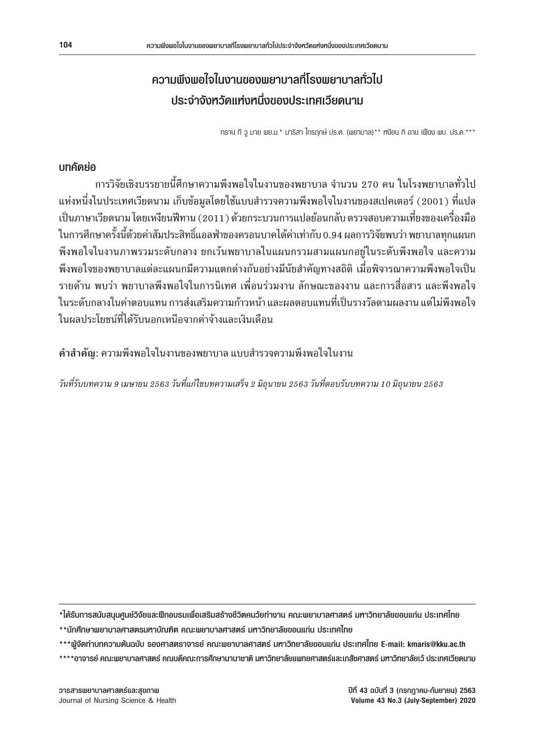# **ความพึงพอใจในงานของพยาบาลที่โรงพยาบาลทั่วไป ประจ�ำจังหวัดแห่งหนึ่งของประเทศเวียดนาม**

ทราน ทิ วู มาย พย.ม.\* มาริสา ไกรฤกษ์ ปร.ด. (พยาบาล)\*\* หงียน ทิ อาน เฟือง พบ. ปร.ด.\*\*\*

## **บทคัดย่อ**

ึการวิจัยเชิงบรรยายนี้ศึกษาความพึงพอใจในงานของพยาบาล จำนวน 270 คน ในโรงพยาบาลทั่วไป แห่งหนึ่งในประเทศเวียดนาม เก็บข้อมูลโดยใช้แบบสำรวจความพึงพอใจในงานของสเปคเตอร์ (2001) ที่แปล เป็นภาษาเวียดนาม โดยเหงียนฟีทาน (2011) ด้วยกระบวนการแปลย้อนกลับ ตรวจสอบความเที่ยงของเครื่องมือ ในการศึกษาครั้งนี้ด้วยค่าสัมประสิทธิ์แอลฟ่าของครอนบาคได้ค่าเท่ากับ 0.94 ผลการวิจัยพบว่า พยาบาลทุกแผนก พึงพอใจในงานภาพรวมระดับกลาง ยกเว้นพยาบาลในแผนกรวมสามแผนกอยู่ในระดับพึงพอใจ และความ พึงพอใจของพยาบาลแต่ละแผนกมีความแตกต่างกันอย่างมีนัยสำคัญทางสถิติ เมื่อพิจารณาความพึงพอใจเป็น รายด้าน พบว่า พยาบาลพึงพอใจในการนิเทศ เพื่อนร่วมงาน ลักษณะของงาน และการสื่อสาร และพึงพอใจ ในระดับกลางในค่าตอบแทน การส่งเสริมความก้าวหน้า และผลตอบแทนที่เป็นรางวัลตามผลงาน แต่ไม่พึงพอใจ ในผลประโยชน์ที่ได้รับนอกเหนือจากค่าจ้างและเงินเดือน

**ค�ำส�ำคัญ**: ความพึงพอใจในงานของพยาบาล แบบส�ำรวจความพึงพอใจในงาน

*วันที่รับบทความ 9 เมษายน 2563 วันที่แก้ไขบทความเสร็จ 2 มิถุนายน 2563 วันที่ตอบรับบทความ 10 มิถุนายน 2563*

**\*ได้รับการสนับสนุนศูนย์วิจัยและฝึกอบรมเพื่อเสริมสร้างชีวิตคนวัยท�ำงาน คณะพยาบาลศาสตร์ มหาวิทยาลัยขอนแก่น ประเทศไทย**

- **\*\*นักศึกษาพยาบาลศาสตรมหาบัณฑิต คณะพยาบาลศาสตร์ มหาวิทยาลัยขอนแก่น ประเทศไทย**
- **\*\*\*ผู้จัดท�ำบทความต้นฉบับ รองศาสตราจารย์ คณะพยาบาลศาสตร์ มหาวิทยาลัยขอนแก่น ประเทศไทย E-mail: kmaris@kku.ac.th**
- **\*\*\*\*อาจารย์ คณะพยาบาลศาสตร์ คณบดีคณะการศึกษานานาชาติ มหาวิทยาลัยแพทยศาสตร์และเภสัชศาสตร์ มหาวิทยาลัยเว้ ประเทศเวียดนาม**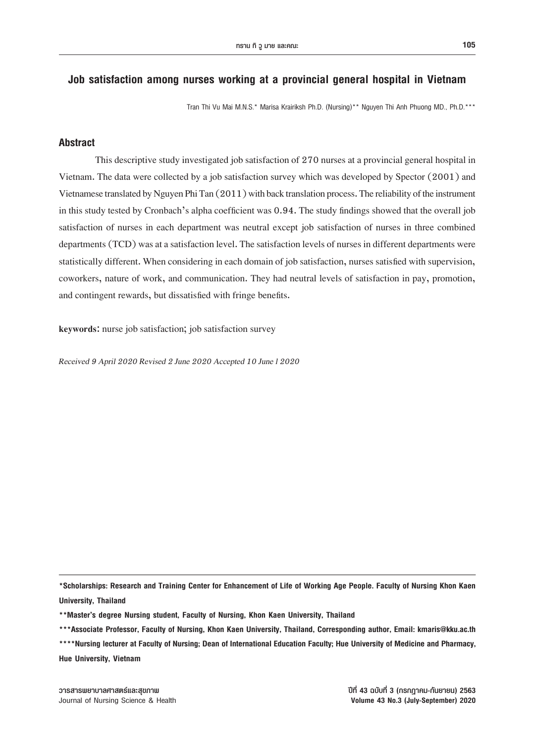### **Job satisfaction among nurses working at a provincial general hospital in Vietnam**

Tran Thi Vu Mai M.N.S.\* Marisa Krairiksh Ph.D. (Nursing)\*\* Nguyen Thi Anh Phuong MD., Ph.D.\*\*\*

### **Abstract**

This descriptive study investigated job satisfaction of 270 nurses at a provincial general hospital in Vietnam. The data were collected by a job satisfaction survey which was developed by Spector (2001) and Vietnamese translated by Nguyen Phi Tan (2011) with back translation process. The reliability of the instrument in this study tested by Cronbach's alpha coefficient was 0.94. The study findings showed that the overall job satisfaction of nurses in each department was neutral except job satisfaction of nurses in three combined departments (TCD) was at a satisfaction level. The satisfaction levels of nurses in different departments were statistically different. When considering in each domain of job satisfaction, nurses satisfied with supervision, coworkers, nature of work, and communication. They had neutral levels of satisfaction in pay, promotion, and contingent rewards, but dissatisfied with fringe benefits.

**keywords:** nurse job satisfaction; job satisfaction survey

*Received 9 April 2020 Revised 2 June 2020 Accepted 10 June l 2020*

**\*Scholarships: Research and Training Center for Enhancement of Life of Working Age People. Faculty of Nursing Khon Kaen University, Thailand**

**<sup>\*\*</sup>Master's degree Nursing student, Faculty of Nursing, Khon Kaen University, Thailand**

**<sup>\*\*\*</sup>Associate Professor, Faculty of Nursing, Khon Kaen University, Thailand, Corresponding author, Email: kmaris@kku.ac.th**

**<sup>\*\*\*\*</sup>Nursing lecturer at Faculty of Nursing; Dean of International Education Faculty; Hue University of Medicine and Pharmacy, Hue University, Vietnam**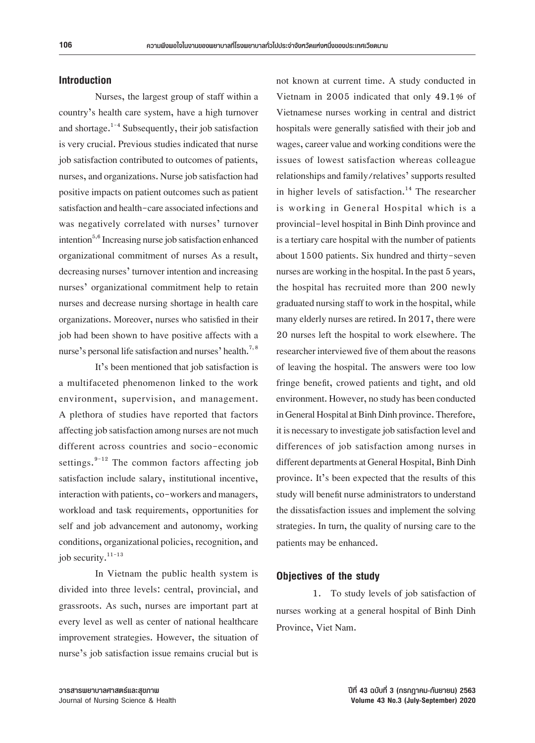#### **Introduction**

 Nurses, the largest group of staff within a country's health care system, have a high turnover and shortage.<sup>1-4</sup> Subsequently, their job satisfaction is very crucial. Previous studies indicated that nurse job satisfaction contributed to outcomes of patients, nurses, and organizations. Nurse job satisfaction had positive impacts on patient outcomes such as patient satisfaction and health-care associated infections and was negatively correlated with nurses' turnover intention<sup>5,6</sup> Increasing nurse job satisfaction enhanced organizational commitment of nurses As a result, decreasing nurses' turnover intention and increasing nurses' organizational commitment help to retain nurses and decrease nursing shortage in health care organizations. Moreover, nurses who satisfied in their job had been shown to have positive affects with a nurse's personal life satisfaction and nurses' health.<sup>7, 8</sup>

It's been mentioned that job satisfaction is a multifaceted phenomenon linked to the work environment, supervision, and management. A plethora of studies have reported that factors affecting job satisfaction among nurses are not much different across countries and socio-economic settings. $9-12$  The common factors affecting job satisfaction include salary, institutional incentive, interaction with patients, co-workers and managers, workload and task requirements, opportunities for self and job advancement and autonomy, working conditions, organizational policies, recognition, and job security. $11-13$ 

In Vietnam the public health system is divided into three levels: central, provincial, and grassroots. As such, nurses are important part at every level as well as center of national healthcare improvement strategies. However, the situation of nurse's job satisfaction issue remains crucial but is not known at current time. A study conducted in Vietnam in 2005 indicated that only 49.1% of Vietnamese nurses working in central and district hospitals were generally satisfied with their job and wages, career value and working conditions were the issues of lowest satisfaction whereas colleague relationships and family/relatives' supports resulted in higher levels of satisfaction.<sup>14</sup> The researcher is working in General Hospital which is a provincial-level hospital in Binh Dinh province and is a tertiary care hospital with the number of patients about 1500 patients. Six hundred and thirty-seven nurses are working in the hospital. In the past 5 years, the hospital has recruited more than 200 newly graduated nursing staff to work in the hospital, while many elderly nurses are retired. In 2017, there were 20 nurses left the hospital to work elsewhere. The researcher interviewed five of them about the reasons of leaving the hospital. The answers were too low fringe benefit, crowed patients and tight, and old environment. However, no study has been conducted in General Hospital at Binh Dinh province. Therefore, it is necessary to investigate job satisfaction level and differences of job satisfaction among nurses in different departments at General Hospital, Binh Dinh province. It's been expected that the results of this study will benefit nurse administrators to understand the dissatisfaction issues and implement the solving strategies. In turn, the quality of nursing care to the patients may be enhanced.

#### **Objectives of the study**

1. To study levels of job satisfaction of nurses working at a general hospital of Binh Dinh Province, Viet Nam.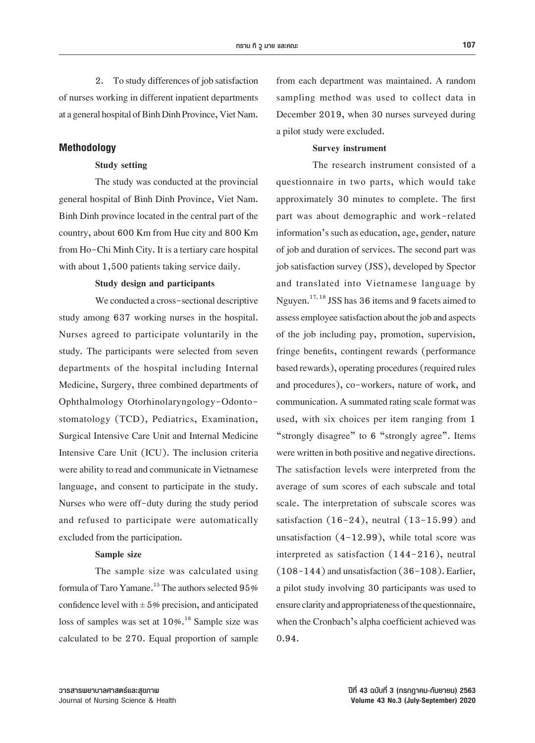2. To study differences of job satisfaction of nurses working in different inpatient departments at a general hospital of Binh Dinh Province, Viet Nam.

#### **Methodology**

#### **Study setting**

The study was conducted at the provincial general hospital of Binh Dinh Province, Viet Nam. Binh Dinh province located in the central part of the country, about 600 Km from Hue cityand 800 Km from Ho-Chi Minh City. It is a tertiary care hospital with about 1,500 patients taking service daily.

#### **Study design and participants**

We conducted a cross-sectional descriptive study among 637 working nurses in the hospital. Nurses agreed to participate voluntarily in the study*.* The participants were selected from seven departments of the hospital including Internal Medicine, Surgery, three combined departments of Ophthalmology Otorhinolaryngology-Odontostomatology (TCD), Pediatrics, Examination, Surgical Intensive Care Unit and Internal Medicine Intensive Care Unit (ICU). The inclusion criteria were ability to read and communicate in Vietnamese language, and consent to participate in the study. Nurses who were off-duty during the study period and refused to participate were automatically excluded from the participation.

#### **Sample size**

The sample size was calculated using formula of Taro Yamane.<sup>15</sup> The authors selected 95% confidence level with  $\pm$  5% precision, and anticipated loss of samples was set at  $10\%$ .<sup>16</sup> Sample size was calculated to be 270. Equal proportion of sample from each department was maintained. A random sampling method was used to collect data in December 2019, when 30 nurses surveyed during a pilot study were excluded.

#### **Survey instrument**

The research instrument consisted of a questionnaire in two parts, which would take approximately 30 minutes to complete. The first part was about demographic and work-related information's such as education, age, gender, nature of job and duration of services. The second part was job satisfaction survey (JSS), developed by Spector and translated into Vietnamese language by Nguyen.<sup>17, 18</sup> JSS has 36 items and 9 facets aimed to assess employee satisfaction about the job and aspects of the job including pay, promotion, supervision, fringe benefits, contingent rewards (performance based rewards), operating procedures (required rules and procedures), co-workers, nature of work, and communication. A summated rating scale format was used, with six choices per item ranging from 1 "strongly disagree" to 6 "strongly agree". Items were written in both positive and negative directions. The satisfaction levels were interpreted from the average of sum scores of each subscale and total scale. The interpretation of subscale scores was satisfaction  $(16-24)$ , neutral  $(13-15.99)$  and unsatisfaction  $(4-12.99)$ , while total score was interpreted as satisfaction (144-216), neutral  $(108-144)$  and unsatisfaction  $(36-108)$ . Earlier, a pilot study involving 30 participants was used to ensure clarity and appropriateness of the questionnaire, when the Cronbach's alpha coefficient achieved was 0.94.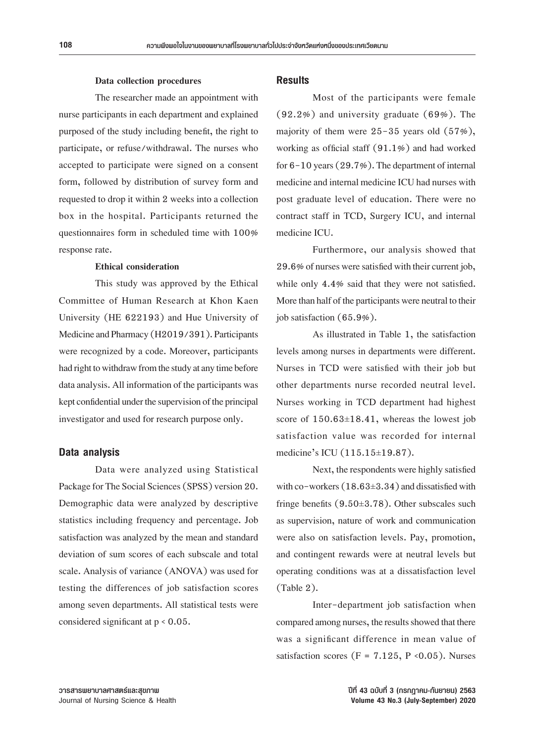#### **Data collection procedures**

The researcher made an appointment with nurse participants in each department and explained purposed of the study including benefit, the right to participate, or refuse/withdrawal. The nurses who accepted to participate were signed on a consent form, followed by distribution of survey form and requested to drop it within 2 weeks into a collection box in the hospital. Participants returned the questionnaires form in scheduled time with 100% response rate. 

#### **Ethical consideration**

This study was approved by the Ethical Committee of Human Research at Khon Kaen University (HE 622193) and Hue University of Medicine and Pharmacy (H2019/391). Participants were recognized by a code. Moreover, participants had right to withdraw from the study at any time before data analysis. All information of the participants was kept confidential under the supervision of the principal investigator and used for research purpose only.

#### **Data analysis**

Data were analyzed using Statistical Package for The Social Sciences (SPSS) version 20. Demographic data were analyzed by descriptive statistics including frequency and percentage. Job satisfaction was analyzed by the mean and standard deviation of sum scores of each subscale and total scale. Analysis of variance (ANOVA) was used for testing the differences of job satisfaction scores among seven departments. All statistical tests were considered significant at  $p < 0.05$ .

#### **Results**

 Most of the participants were female (92.2%) and university graduate (69%). The majority of them were  $25 - 35$  years old  $(57%)$ , working as official staff (91.1%) and had worked for  $6-10$  years  $(29.7%)$ . The department of internal medicine and internal medicine ICU had nurses with post graduate level of education. There were no contract staff in TCD, Surgery ICU, and internal medicine ICU.

Furthermore, our analysis showed that 29.6% of nurses were satisfied with their current job, while only 4.4% said that they were not satisfied. More than half of the participants were neutral to their job satisfaction  $(65.9\%)$ .

As illustrated in Table 1, the satisfaction levels among nurses in departments were different. Nurses in TCD were satisfied with their job but other departments nurse recorded neutral level. Nurses working in TCD department had highest score of  $150.63\pm18.41$ , whereas the lowest job satisfaction value was recorded for internal medicine's ICU (115.15±19.87).

Next, the respondents were highly satisfied with co-workers  $(18.63\pm3.34)$  and dissatisfied with fringe benefits (9.50±3.78). Other subscales such as supervision, nature of work and communication were also on satisfaction levels. Pay, promotion, and contingent rewards were at neutral levels but operating conditions was at a dissatisfaction level (Table 2).

Inter-department job satisfaction when compared among nurses, the results showed that there was a significant difference in mean value of satisfaction scores ( $F = 7.125$ ,  $P \le 0.05$ ). Nurses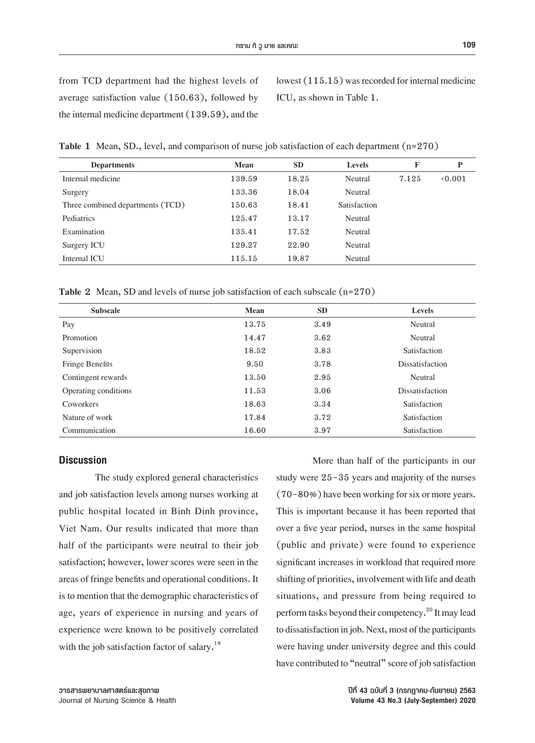lowest  $(115.15)$  was recorded for internal medicine ICU, as shown in Table 1.

**Table 1** Mean, SD., level, and comparison of nurse job satisfaction of each department (n=270)

| <b>Departments</b>               | Mean   | <b>SD</b> | <b>Levels</b> | F     | P     |
|----------------------------------|--------|-----------|---------------|-------|-------|
| Internal medicine                | 139.59 | 18.25     | Neutral       | 7.125 | 0.001 |
| Surgery                          | 133.36 | 18.04     | Neutral       |       |       |
| Three combined departments (TCD) | 150.63 | 18.41     | Satisfaction  |       |       |
| <b>Pediatrics</b>                | 125.47 | 13.17     | Neutral       |       |       |
| Examination                      | 135.41 | 17.52     | Neutral       |       |       |
| Surgery ICU                      | 129.27 | 22.90     | Neutral       |       |       |
| Internal ICU                     | 115.15 | 19.87     | Neutral       |       |       |

**Table 2** Mean, SD and levels of nurse job satisfaction of each subscale (n=270)

| <b>Subscale</b>      | Mean  | SD.  | <b>Levels</b>          |
|----------------------|-------|------|------------------------|
| Pay                  | 13.75 | 3.49 | Neutral                |
| Promotion            | 14.47 | 3.62 | Neutral                |
| Supervision          | 18.52 | 3.83 | <b>Satisfaction</b>    |
| Fringe Benefits      | 9.50  | 3.78 | <b>Dissatisfaction</b> |
| Contingent rewards   | 13.50 | 2.95 | Neutral                |
| Operating conditions | 11.53 | 3.06 | <b>Dissatisfaction</b> |
| Coworkers            | 18.63 | 3.34 | Satisfaction           |
| Nature of work       | 17.84 | 3.72 | Satisfaction           |
| Communication        | 16.60 | 3.97 | Satisfaction           |

### **Discussion**

 The study explored general characteristics and job satisfaction levels among nurses working at public hospital located in Binh Dinh province, Viet Nam. Our results indicated that more than half of the participants were neutral to their job satisfaction; however, lower scores were seen in the areas of fringe benefits and operational conditions. It is to mention that the demographic characteristics of age, years of experience in nursing and years of experience were known to be positively correlated with the job satisfaction factor of salary.<sup>19</sup>

More than half of the participants in our study were 25-35 years and majority of the nurses  $(70-80%)$  have been working for six or more years. This is important because it has been reported that over a five year period, nurses in the same hospital (public and private) were found to experience significant increases in workload that required more shifting of priorities, involvement with life and death situations, and pressure from being required to perform tasks beyond their competency.<sup>20</sup> It may lead to dissatisfaction in job. Next, most of the participants were having under university degree and this could have contributed to "neutral" score of job satisfaction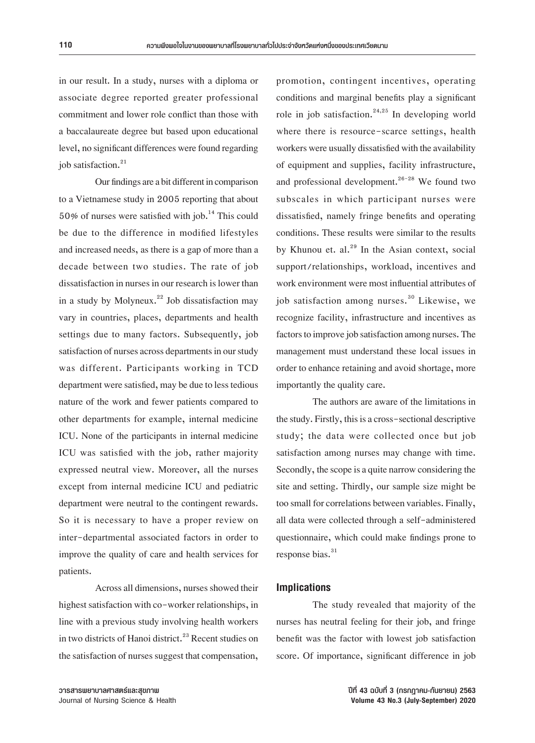in our result. In a study, nurses with a diploma or associate degree reported greater professional commitment and lower role conflict than those with a baccalaureate degree but based upon educational level, no significant differences were found regarding job satisfaction.<sup>21</sup>

Our findings are a bit different in comparison to a Vietnamese study in 2005 reporting that about 50% of nurses were satisfied with job.<sup>14</sup> This could be due to the difference in modified lifestyles and increased needs, as there is a gap of more than a decade between two studies. The rate of job dissatisfaction in nurses in our research is lower than in a study by Molyneux.<sup>22</sup> Job dissatisfaction may vary in countries, places, departments and health settings due to many factors. Subsequently, job satisfaction of nurses across departments in our study was different. Participants working in TCD department were satisfied, may be due to less tedious nature of the work and fewer patients compared to other departments for example, internal medicine ICU. None of the participants in internal medicine ICU was satisfied with the job, rather majority expressed neutral view. Moreover, all the nurses except from internal medicine ICU and pediatric department were neutral to the contingent rewards. So it is necessary to have a proper review on inter-departmental associated factors in order to improve the quality of care and health services for patients.

Across all dimensions, nurses showed their highest satisfaction with co-worker relationships, in line with a previous study involving health workers in two districts of Hanoi district.<sup>23</sup> Recent studies on the satisfaction of nurses suggest that compensation, promotion, contingent incentives, operating conditions and marginal benefits play a significant role in job satisfaction.<sup>24,25</sup> In developing world where there is resource-scarce settings, health workers were usually dissatisfied with the availability of equipment and supplies, facility infrastructure, and professional development. $26-28$  We found two subscales in which participant nurses were dissatisfied, namely fringe benefits and operating conditions. These results were similar to the results by Khunou et. al. $^{29}$  In the Asian context, social support/relationships, workload, incentives and work environment were most influential attributes of job satisfaction among nurses.<sup>30</sup> Likewise, we recognize facility, infrastructure and incentives as factors to improve job satisfaction among nurses. The management must understand these local issues in order to enhance retaining and avoid shortage, more importantly the quality care.

The authors are aware of the limitations in the study. Firstly, this is a cross-sectional descriptive study; the data were collected once but job satisfaction among nurses may change with time. Secondly, the scope is a quite narrow considering the site and setting. Thirdly, our sample size might be too small for correlations between variables. Finally, all data were collected through a self-administered questionnaire, which could make findings prone to response bias. $31$ 

#### **Implications**

 The study revealed that majority of the nurses has neutral feeling for their job, and fringe benefit was the factor with lowest job satisfaction score. Of importance, significant difference in job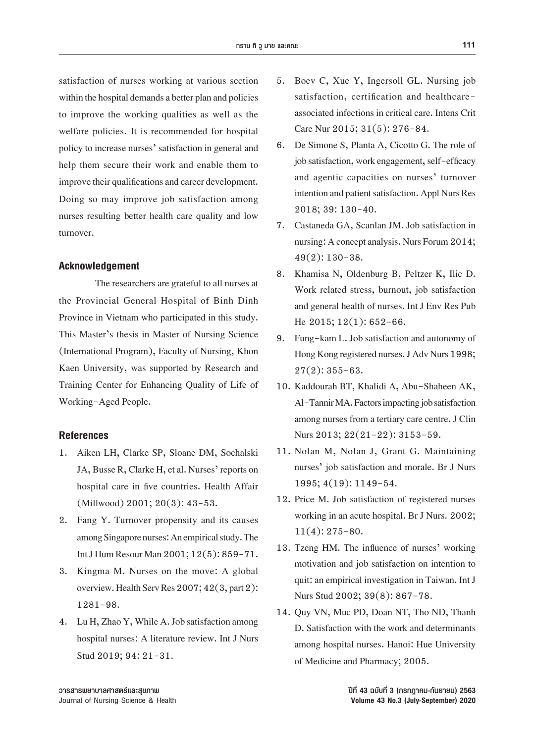satisfaction of nurses working at various section within the hospital demands a better plan and policies to improve the working qualities as well as the welfare policies. It is recommended for hospital policy to increase nurses' satisfaction in general and help them secure their work and enable them to improve their qualifications and career development. Doing so may improve job satisfaction among nurses resulting better health care quality and low turnover.

#### **Acknowledgement**

The researchers are grateful to all nurses at the Provincial General Hospital of Binh Dinh Province in Vietnam who participated in this study. This Master's thesis in Master of Nursing Science (International Program), Faculty of Nursing, Khon Kaen University, was supported by Research and Training Center for Enhancing Quality of Life of Working-Aged People.

#### **References**

- 1. Aiken LH, Clarke SP, Sloane DM, Sochalski JA, Busse R, Clarke H, et al. Nurses' reports on hospital care in five countries. Health Affair (Millwood) 2001; 20(3): 43-53.
- 2. Fang Y. Turnover propensity and its causes among Singapore nurses: An empirical study. The Int J Hum Resour Man 2001; 12(5): 859-71.
- 3. Kingma M. Nurses on the move: A global overview. Health Serv Res 2007; 42(3, part 2): 1281-98.
- 4. Lu H, Zhao Y, While A. Job satisfaction among hospital nurses: A literature review. Int J Nurs Stud 2019; 94: 21-31.
- 5. Boev C, Xue Y, Ingersoll GL. Nursing job satisfaction, certification and healthcareassociated infections in critical care. Intens Crit Care Nur 2015; 31(5): 276-84.
- 6. De Simone S, Planta A, Cicotto G. The role of job satisfaction, work engagement, self-efficacy and agentic capacities on nurses' turnover intention and patient satisfaction. Appl Nurs Res 2018; 39: 130-40.
- 7. Castaneda GA, Scanlan JM. Job satisfaction in nursing: A concept analysis. Nurs Forum 2014; 49(2): 130-38.
- 8. Khamisa N, Oldenburg B, Peltzer K, Ilic D. Work related stress, burnout, job satisfaction and general health of nurses. Int J Env Res Pub He 2015; 12(1): 652-66.
- 9. Fung-kam L. Job satisfaction and autonomy of Hong Kong registered nurses. J Adv Nurs 1998;  $27(2): 355 - 63.$
- 10. Kaddourah BT, Khalidi A, Abu-Shaheen AK, Al-Tannir MA. Factors impacting job satisfaction among nurses from a tertiary care centre. J Clin Nurs 2013; 22(21-22): 3153-59.
- 11. Nolan M, Nolan J, Grant G. Maintaining nurses' job satisfaction and morale. Br J Nurs 1995; 4(19): 1149-54.
- 12. Price M. Job satisfaction of registered nurses working in an acute hospital. Br J Nurs. 2002; 11(4): 275-80.
- 13. Tzeng HM. The influence of nurses' working motivation and job satisfaction on intention to quit: an empirical investigation in Taiwan. Int J Nurs Stud 2002; 39(8): 867-78.
- 14. Quy VN, Muc PD, Doan NT, Tho ND, Thanh D. Satisfaction with the work and determinants among hospital nurses. Hanoi: Hue University of Medicine and Pharmacy; 2005.